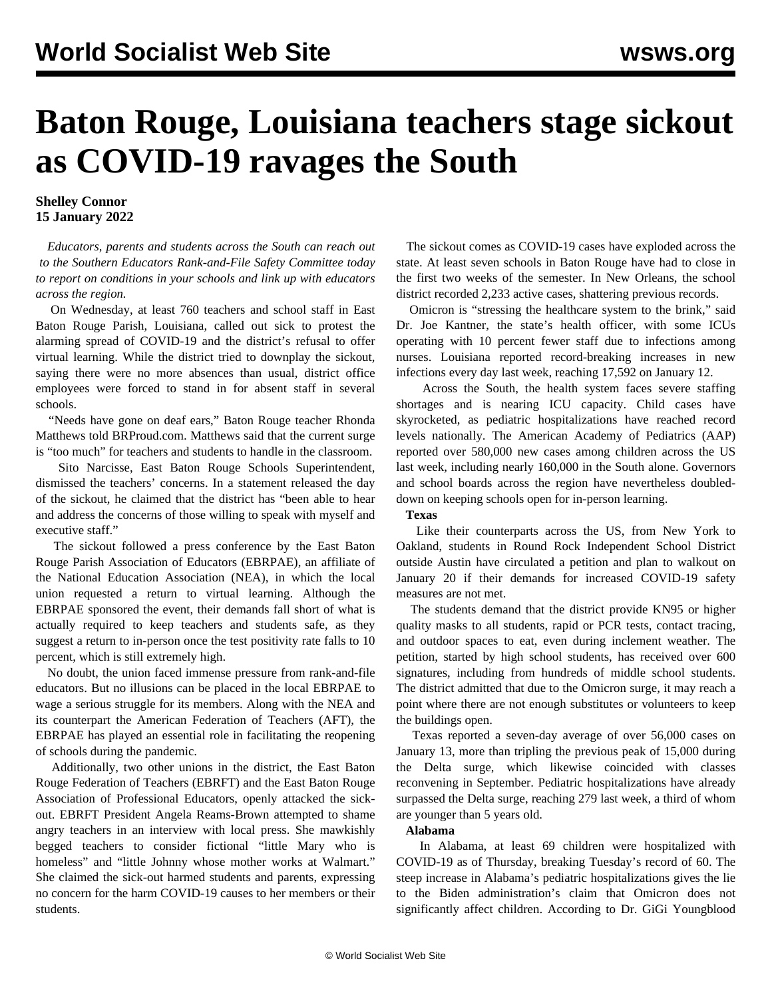# **Baton Rouge, Louisiana teachers stage sickout as COVID-19 ravages the South**

## **Shelley Connor 15 January 2022**

 *Educators, parents and students across the South can [reach out](mailto:southerneducatorsrfc@gmail.com) to the Southern Educators Rank-and-File Safety Committee today to report on conditions in your schools and link up with educators across the region.*

 On Wednesday, at least 760 teachers and school staff in East Baton Rouge Parish, Louisiana, called out sick to protest the alarming spread of COVID-19 and the district's refusal to offer virtual learning. While the district tried to downplay the sickout, saying there were no more absences than usual, district office employees were forced to stand in for absent staff in several schools.

 "Needs have gone on deaf ears," Baton Rouge teacher Rhonda Matthews told BRProud.com. Matthews said that the current surge is "too much" for teachers and students to handle in the classroom.

 Sito Narcisse, East Baton Rouge Schools Superintendent, dismissed the teachers' concerns. In a statement released the day of the sickout, he claimed that the district has "been able to hear and address the concerns of those willing to speak with myself and executive staff."

 The sickout followed a press conference by the East Baton Rouge Parish Association of Educators (EBRPAE), an affiliate of the National Education Association (NEA), in which the local union requested a return to virtual learning. Although the EBRPAE sponsored the event, their demands fall short of what is actually required to keep teachers and students safe, as they suggest a return to in-person once the test positivity rate falls to 10 percent, which is still extremely high.

 No doubt, the union faced immense pressure from rank-and-file educators. But no illusions can be placed in the local EBRPAE to wage a serious struggle for its members. Along with the NEA and its counterpart the American Federation of Teachers (AFT), the EBRPAE has played an essential role in facilitating the reopening of schools during the pandemic.

 Additionally, two other unions in the district, the East Baton Rouge Federation of Teachers (EBRFT) and the East Baton Rouge Association of Professional Educators, openly attacked the sickout. EBRFT President Angela Reams-Brown attempted to shame angry teachers in an interview with local press. She mawkishly begged teachers to consider fictional "little Mary who is homeless" and "little Johnny whose mother works at Walmart." She claimed the sick-out harmed students and parents, expressing no concern for the harm COVID-19 causes to her members or their students.

 The sickout comes as COVID-19 cases have exploded across the state. At least seven schools in Baton Rouge have had to close in the first two weeks of the semester. In New Orleans, the school district recorded 2,233 active cases, shattering previous records.

 Omicron is "stressing the healthcare system to the brink," said Dr. Joe Kantner, the state's health officer, with some ICUs operating with 10 percent fewer staff due to infections among nurses. Louisiana reported record-breaking increases in new infections every day last week, reaching 17,592 on January 12.

 Across the South, the health system faces severe staffing shortages and is nearing ICU capacity. Child cases have skyrocketed, as pediatric hospitalizations have reached record levels nationally. The American Academy of Pediatrics (AAP) reported over 580,000 new cases among children across the US last week, including nearly 160,000 in the South alone. Governors and school boards across the region have nevertheless doubleddown on keeping schools open for in-person learning.

**Texas**

 Like their counterparts across the US, from [New York](/en/articles/2022/01/12/nyci-j12.html) to Oakland, students in Round Rock Independent School District outside Austin have circulated a petition and plan to walkout on January 20 if their demands for increased COVID-19 safety measures are not met.

 The students demand that the district provide KN95 or higher quality masks to all students, rapid or PCR tests, contact tracing, and outdoor spaces to eat, even during inclement weather. The petition, started by high school students, has received over 600 signatures, including from hundreds of middle school students. The district admitted that due to the Omicron surge, it may reach a point where there are not enough substitutes or volunteers to keep the buildings open.

 Texas reported a seven-day average of over 56,000 cases on January 13, more than tripling the previous peak of 15,000 during the Delta surge, which likewise coincided with classes reconvening in September. Pediatric hospitalizations have already surpassed the Delta surge, reaching 279 last week, a third of whom are younger than 5 years old.

### **Alabama**

 In Alabama, at least 69 children were hospitalized with COVID-19 as of Thursday, breaking Tuesday's record of 60. The steep increase in Alabama's pediatric hospitalizations gives the lie to the Biden administration's claim that Omicron does not significantly affect children. According to Dr. GiGi Youngblood